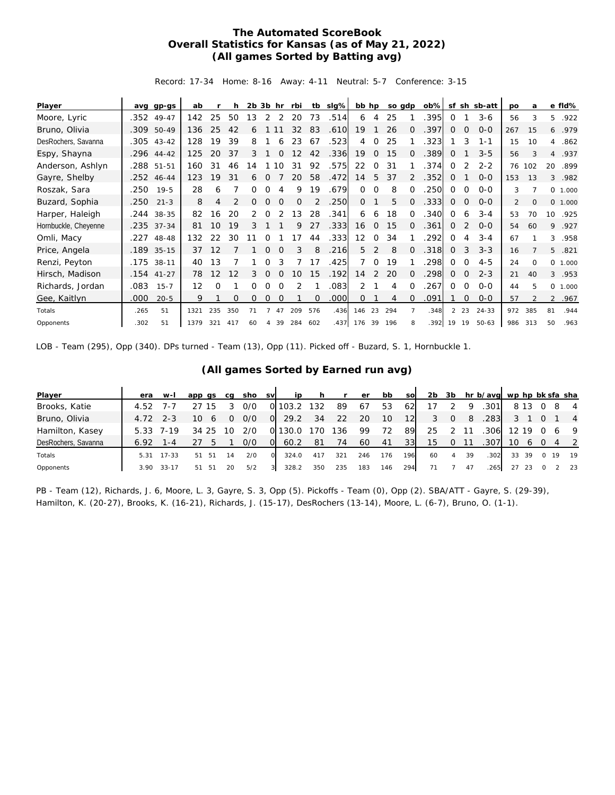## **The Automated ScoreBook Overall Statistics for Kansas (as of May 21, 2022) (All games Sorted by Batting avg)**

Record: 17-34 Home: 8-16 Away: 4-11 Neutral: 5-7 Conference: 3-15

| Player               | avq  | $qp-qs$      | ab                |     | h   | $2b$ $3b$ hr |          |             | rbi      | tb       | $slq\%$           | bb hp       |              |     | so gdp   | $ob\%$ | sf           | sh             | sb-att    | po             | a            |                | e fld%  |
|----------------------|------|--------------|-------------------|-----|-----|--------------|----------|-------------|----------|----------|-------------------|-------------|--------------|-----|----------|--------|--------------|----------------|-----------|----------------|--------------|----------------|---------|
| Moore, Lyric         | .352 | $49 - 47$    | 142               | 25  | 50  | 13           | 2        | 2           | 20       | 73       | .514              | 6           | 4            | 25  |          | 395    | $\Omega$     |                | $3-6$     | 56             | 3            | 5.             | .922    |
| Bruno, Olivia        | .309 | 50-49        | 136               | 25  | 42  | 6            |          |             | 32       | 83       | .610              | 19          |              | 26  | $\Omega$ | 397    | $\Omega$     | $\Omega$       | $0 - 0$   | 267            | 15           | 6              | .979    |
| DesRochers, Savanna  |      | $.305$ 43-42 | 128               | 19  | 39  | 8            |          | 6           | 23       | 67       | .523              | 4           | 0            | 25  |          | 323    |              | 3              | $1 - 1$   | 15             | 10           | 4              | .862    |
| Espy, Shayna         |      | .296 44-42   | 125               | 20  | 37  | 3            |          | $\Omega$    | 12       | 42       | .336              | 19          | $\Omega$     | 15  | 0        | .389   | $\Omega$     |                | $3 - 5$   | 56             | 3            | $\overline{4}$ | .937    |
| Anderson, Ashlyn     |      | .288 51-51   | 160               | 31  | 46  | 14           |          | 10          | 31       | 92       | .575              | 22          | $\Omega$     | 31  |          | .374   | $\Omega$     | 2              | $2 - 2$   |                | 76 102       | 20             | .899    |
| Gayre, Shelby        |      | .252 46-44   | 123               | 19  | 31  | 6            | 0        |             | 20       | 58       | .472              | 14          | 5            | 37  | 2        | .352   | $\Omega$     |                | $0 - 0$   | 153            | 13           |                | 3 .982  |
| Roszak, Sara         | .250 | 19-5         | 28                | 6   |     | 0            | $\Omega$ | 4           | 9        | 19       | .679              | $\Omega$    | $\Omega$     | 8   | $\Omega$ | .250   | 0            | 0              | $0 - 0$   | 3              |              |                | 0 1.000 |
| Buzard, Sophia       | .250 | $21 - 3$     | 8                 | 4   | 2   | 0            | 0        | $\mathbf 0$ | $\Omega$ |          | .250              | 0           |              | 5   | $\Omega$ | .333   | 0            | 0              | $O - O$   | $\overline{2}$ | $\mathbf{0}$ |                | 0 1.000 |
| Harper, Haleigh      |      | .244 38-35   | 82                | 16  | 20  | 2            | $\Omega$ |             | 13       | 28       | .341              | 6           | 6            | 18  | $\Omega$ | .340   | $\Omega$     | 6              | $3 - 4$   | 53             | 70           | 10             | .925    |
| Hornbuckle, Cheyenne |      | .235 37-34   | 81                | 10  | 19  | 3            |          |             | 9        | 27       | .333              | 16          | $\mathbf{0}$ | 15  | $\Omega$ | .361   | 0            | 2              | $O - O$   | 54             | 60           | 9              | .927    |
| Omli, Macy           |      | .227 48-48   | 132               | 22  | 30  |              |          |             | 17       | 44       | .333              | 12          | $\Omega$     | 34  |          | 292    | $\Omega$     | 4              | $3 - 4$   | 67             |              | 3              | .958    |
| Price, Angela        |      | .189 35-15   | 37                | 12  |     |              | 0        |             | 3        | 8        | .216              | 5           | 2            | 8   | 0        | .318   | 0            | 3              | $3 - 3$   | 16             |              |                | 5 .821  |
| Renzi, Peyton        |      | .175 38-11   | 40                | 13  |     |              |          |             |          | 17       | .425              | 7           | $\Omega$     | 19  |          | .298   | 0            | 0              | $4 - 5$   | 24             | $\Omega$     |                | 0 1.000 |
| Hirsch, Madison      |      | $.154$ 41-27 | 78                | 12  | 12  | 3            | $\Omega$ | $\Omega$    | 10       | 15       | .192              | 14          | 2            | 20  | 0        | .298   | $\mathbf{0}$ | $\overline{0}$ | $2 - 3$   | 21             | 40           | 3              | .953    |
| Richards, Jordan     | .083 | $15 - 7$     | $12 \overline{ }$ | Ω   |     | 0            | $\Omega$ | $\Omega$    | 2        |          | .083              | 2           |              | 4   | $\Omega$ | .267   | $\Omega$     | $\circ$        | $0 - 0$   | 44             | 5            |                | 0 1.000 |
| Gee, Kaitlyn         | .000 | $20 - 5$     | 9                 |     | 0   | 0            | 0        | 0           |          | $\Omega$ | .000 <sub>1</sub> | 0           |              | 4   | 0        | .091   |              | 0              | $0 - 0$   | 57             |              |                | 2 .967  |
| Totals               | .265 | 51           | 1321              | 235 | 350 | 71           |          | 47          | 209      | 576      | .436              | 146         | 23           | 294 |          | .348   | 2            | 23             | $24 - 33$ | 972            | 385          | 81             | .944    |
| Opponents            | .302 | 51           | 1379              | 321 | 417 | 60           | 4        | 39          | 284      | 602      |                   | .437 176 39 |              | 196 | 8        | .392   | 19           | 19             | $50 - 63$ | 986            | 313          | 50             | .963    |

LOB - Team (295), Opp (340). DPs turned - Team (13), Opp (11). Picked off - Buzard, S. 1, Hornbuckle 1.

| Player              | era  | $W-I$      | app gs |    | ca | sho | <b>SV</b> | ip    |     |      | er  | bb  | <b>SO</b> | 2b | 3b       |    | hr b/avg wp hp bk sfa sha |       |      |          |    |                |
|---------------------|------|------------|--------|----|----|-----|-----------|-------|-----|------|-----|-----|-----------|----|----------|----|---------------------------|-------|------|----------|----|----------------|
| Brooks, Katie       | 4.52 | $\sqrt{2}$ |        |    |    | 0/0 |           | 103.2 | 132 | 89   | 67  | 53  | 62        |    |          | 9  | .301'                     |       | 8 13 |          |    | -4             |
| Bruno, Olivia       |      | $2 - 3$    | 10     |    |    | 0/0 | $\Omega$  | 29.2  | 34  | 22   | 20  | 10  | 12        | 3  | 0        | 8  | .283                      |       |      |          |    | $\overline{4}$ |
| Hamilton, Kasey     | 5.33 | 7-19       | 34     | 25 | 10 | 2/0 | 0l        | 130.0 | 170 | ' 36 | 99  | 72  | 89        | 25 |          |    | .306                      | 12 19 |      | $\Omega$ | 6  | - 9            |
| DesRochers, Savanna | 6.92 | 1 - 4      |        |    |    | 0/0 | ΟI        | 60.2  | -81 | 74   | 60  | 41  | 331       | 15 | $\Omega$ |    | 307                       | 10    | 6    |          |    |                |
| Totals              | 5.31 | $17 - 33$  | 51     | 51 | 14 | 2/0 | $\Omega$  | 324.0 | 417 | 321  | 246 | 176 | 196       | 60 | 4        | 39 | .302                      | 33    | -39  | - 0      | 19 | - 19           |
| Opponents           | 3.90 | $33 - 17$  | 51     | 51 |    | 5/2 | 3I        | 328.2 | 350 | 235  | 183 | 146 | 294       |    |          | 47 | 265                       | 27    | 23   |          |    | -23            |

## **(All games Sorted by Earned run avg)**

PB - Team (12), Richards, J. 6, Moore, L. 3, Gayre, S. 3, Opp (5). Pickoffs - Team (0), Opp (2). SBA/ATT - Gayre, S. (29-39), Hamilton, K. (20-27), Brooks, K. (16-21), Richards, J. (15-17), DesRochers (13-14), Moore, L. (6-7), Bruno, O. (1-1).